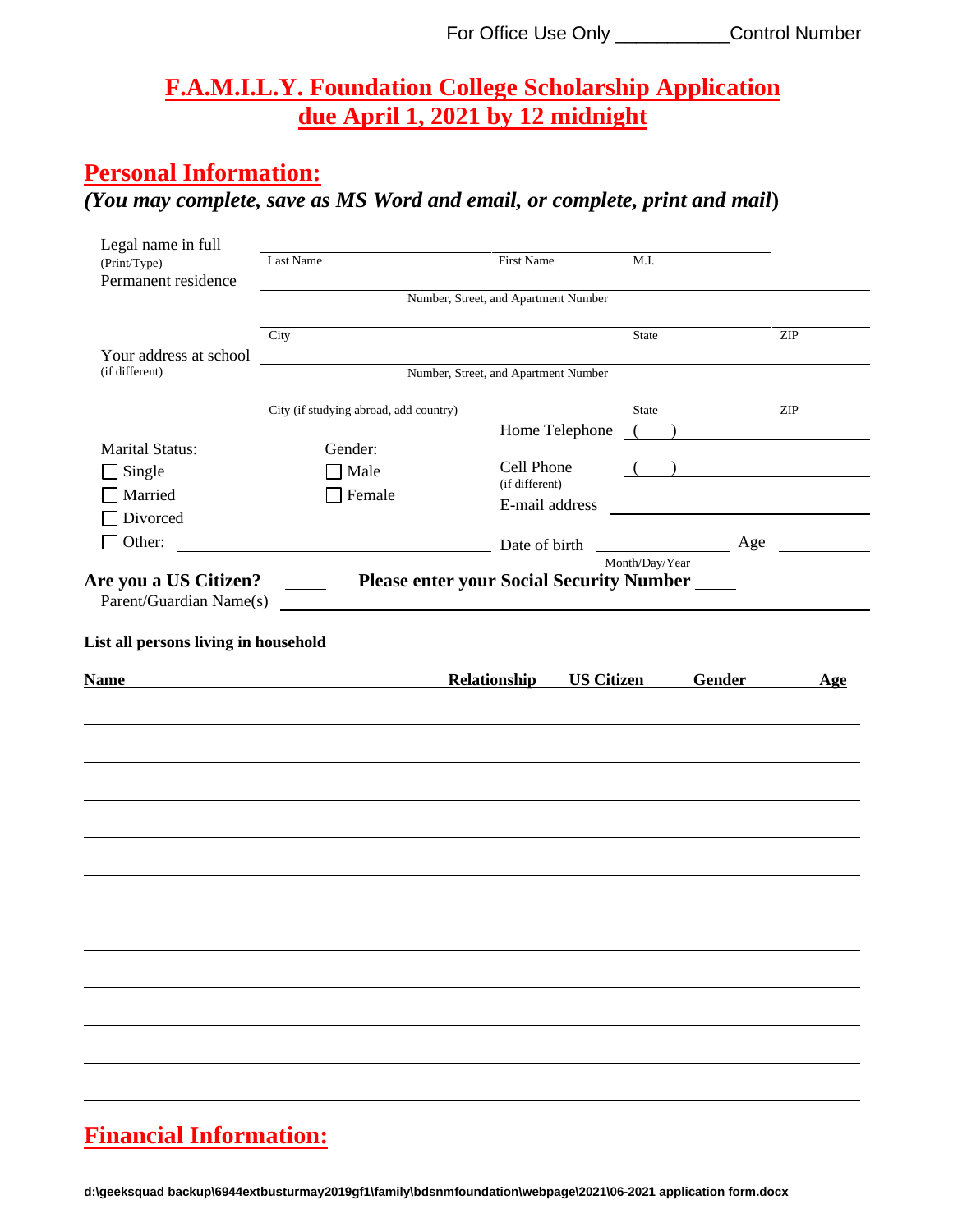#### **F.A.M.I.L.Y. Foundation College Scholarship Application due April 1, 2021 by 12 midnight**

#### **Personal Information:**

## *(You may complete, save as MS Word and email, or complete, print and mail***)**

| Legal name in full                                  |                                                                                                                        |                                                       |                |               |
|-----------------------------------------------------|------------------------------------------------------------------------------------------------------------------------|-------------------------------------------------------|----------------|---------------|
| (Print/Type)                                        | Last Name                                                                                                              | First Name                                            | M.I.           |               |
| Permanent residence                                 |                                                                                                                        |                                                       |                |               |
|                                                     |                                                                                                                        | Number, Street, and Apartment Number                  |                |               |
|                                                     | City                                                                                                                   |                                                       | State          | <b>ZIP</b>    |
| Your address at school                              |                                                                                                                        |                                                       |                |               |
| (if different)                                      |                                                                                                                        | Number, Street, and Apartment Number                  |                |               |
|                                                     | City (if studying abroad, add country)                                                                                 |                                                       | State          | <b>ZIP</b>    |
|                                                     |                                                                                                                        | Home Telephone                                        |                | $($ )         |
| <b>Marital Status:</b>                              | Gender:                                                                                                                |                                                       |                |               |
| Single                                              | Male                                                                                                                   | Cell Phone                                            |                |               |
| Married                                             | Female                                                                                                                 | (if different)                                        |                |               |
| Divorced                                            |                                                                                                                        | E-mail address                                        |                |               |
| $\Box$ Other:                                       | <u> 1980 - Andrea Barbara, poeta espainiar político e a filosofono de la provincia de la provincia de la provincia</u> |                                                       |                |               |
|                                                     |                                                                                                                        |                                                       | Month/Day/Year |               |
| Are you a US Citizen?                               | $\frac{1}{2}$ and $\frac{1}{2}$ and $\frac{1}{2}$                                                                      | <b>Please enter your Social Security Number _____</b> |                |               |
| Parent/Guardian Name(s)                             |                                                                                                                        |                                                       |                |               |
|                                                     |                                                                                                                        |                                                       |                |               |
|                                                     |                                                                                                                        |                                                       |                |               |
|                                                     |                                                                                                                        |                                                       |                |               |
|                                                     |                                                                                                                        |                                                       |                |               |
| List all persons living in household<br><b>Name</b> | <u> 1989 - Jan Samuel Barbara, politik eta politik eta politik eta politik eta politik eta politik eta politik e</u>   | Relationship<br><b>US Citizen</b>                     |                | Gender<br>Age |
|                                                     |                                                                                                                        |                                                       |                |               |
|                                                     |                                                                                                                        |                                                       |                |               |
|                                                     |                                                                                                                        |                                                       |                |               |
|                                                     |                                                                                                                        |                                                       |                |               |
|                                                     |                                                                                                                        |                                                       |                |               |
|                                                     |                                                                                                                        |                                                       |                |               |
|                                                     |                                                                                                                        |                                                       |                |               |
|                                                     |                                                                                                                        |                                                       |                |               |
|                                                     |                                                                                                                        |                                                       |                |               |
|                                                     |                                                                                                                        |                                                       |                |               |
|                                                     |                                                                                                                        |                                                       |                |               |
|                                                     |                                                                                                                        |                                                       |                |               |
|                                                     |                                                                                                                        |                                                       |                |               |
|                                                     |                                                                                                                        |                                                       |                |               |
|                                                     |                                                                                                                        |                                                       |                |               |
|                                                     |                                                                                                                        |                                                       |                |               |
|                                                     |                                                                                                                        |                                                       |                |               |
|                                                     |                                                                                                                        |                                                       |                |               |
|                                                     |                                                                                                                        |                                                       |                |               |

#### **Financial Information:**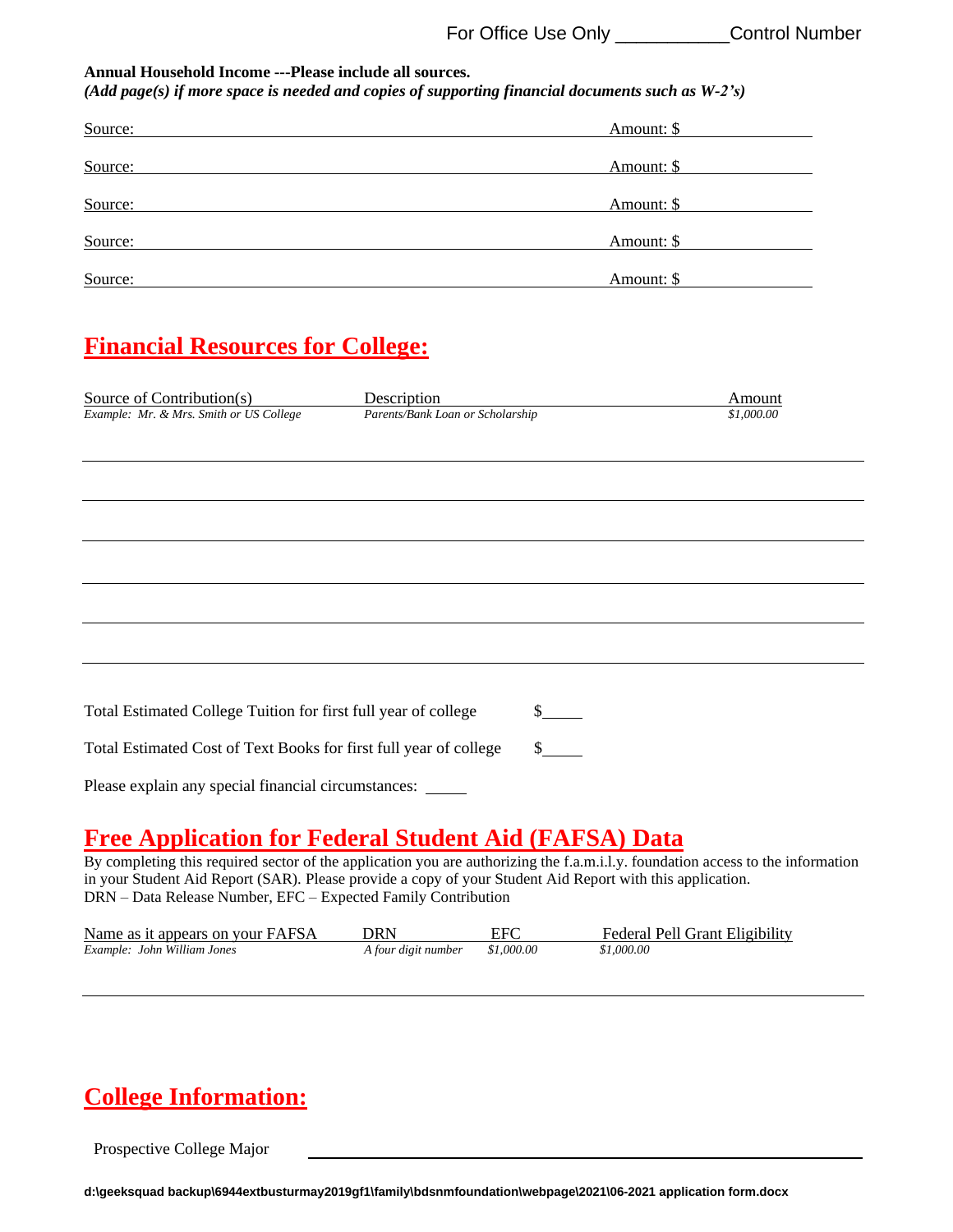| Annual Household Income ---Please include all sources.<br>$(Add \ page(s) \ if \ more \ space \ is \ needed \ and \ copies \ of \ supporting \ financial \ documents \ such \ as \ W-2's)$        |                                      |
|---------------------------------------------------------------------------------------------------------------------------------------------------------------------------------------------------|--------------------------------------|
| Source:                                                                                                                                                                                           | Amount: \$                           |
| Source:                                                                                                                                                                                           | Amount: \$                           |
| Source:                                                                                                                                                                                           | Amount: \$                           |
| Source:                                                                                                                                                                                           | Amount: \$                           |
| Source:<br><u> 1989 - Johann Barbara, marka a shekara tsa 1989 - An tsa 1989 - An tsa 1989 - An tsa 1989 - An tsa 1989 - An</u>                                                                   | Amount: \$                           |
| <b>Financial Resources for College:</b>                                                                                                                                                           |                                      |
| Source of Contribution(s)<br>Description<br>Example: Mr. & Mrs. Smith or US College<br>Parents/Bank Loan or Scholarship                                                                           | Amount<br>\$1,000.00                 |
|                                                                                                                                                                                                   |                                      |
|                                                                                                                                                                                                   |                                      |
|                                                                                                                                                                                                   |                                      |
|                                                                                                                                                                                                   |                                      |
| Total Estimated College Tuition for first full year of college<br>Total Estimated Cost of Text Books for first full year of college<br>Please explain any special financial circumstances: ______ | $\frac{\sqrt{2}}{2}$<br>$\mathbb{S}$ |

### **Free Application for Federal Student Aid (FAFSA) Data**

By completing this required sector of the application you are authorizing the f.a.m.i.l.y. foundation access to the information in your Student Aid Report (SAR). Please provide a copy of your Student Aid Report with this application. DRN – Data Release Number, EFC – Expected Family Contribution

| Name as it appears on your FAFSA | DRN                            | EFC | Federal Pell Grant Eligibility |
|----------------------------------|--------------------------------|-----|--------------------------------|
| Example: John William Jones      | A four digit number \$1,000.00 |     | \$1.000.00                     |

## **College Information:**

Prospective College Major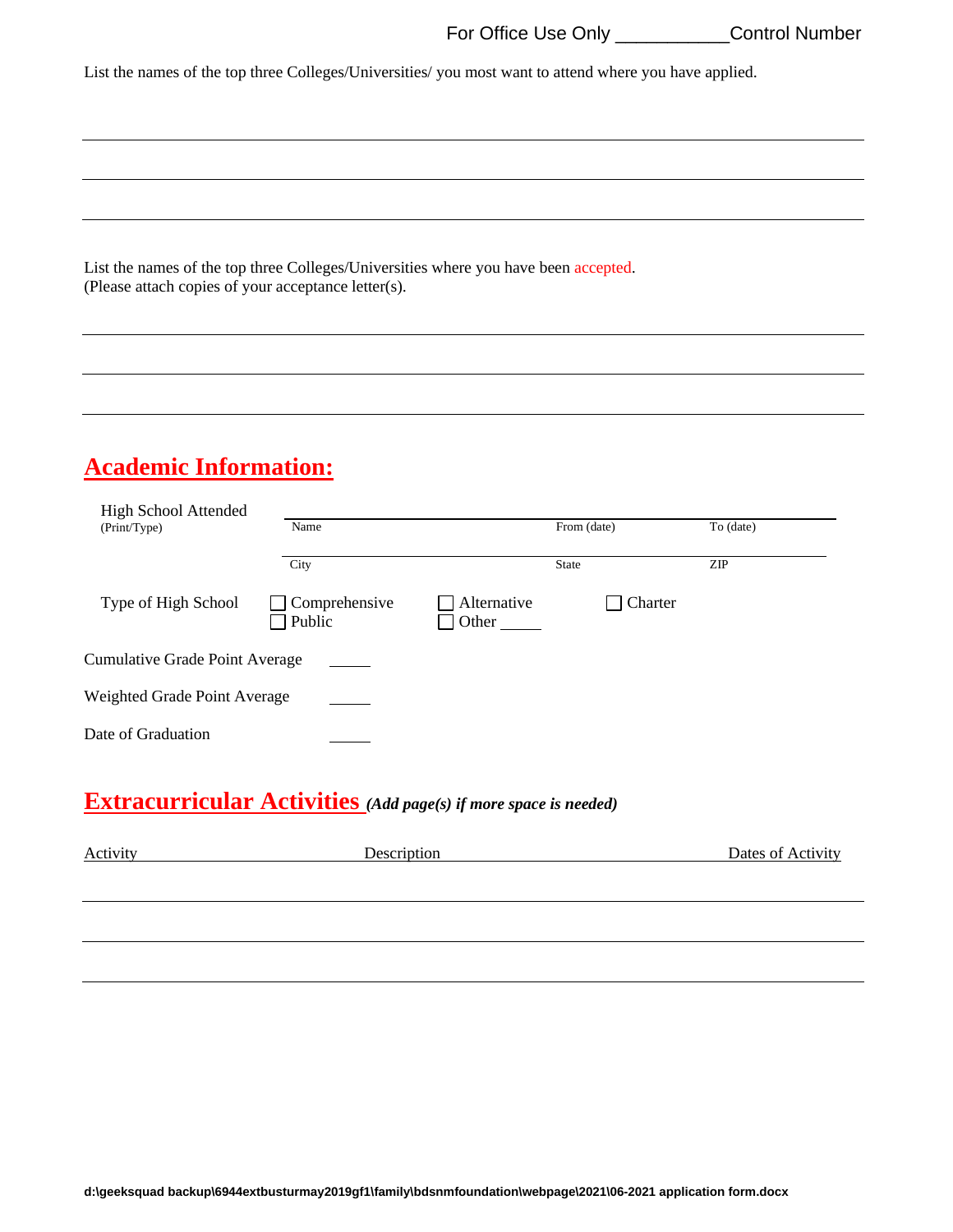List the names of the top three Colleges/Universities/ you most want to attend where you have applied.

List the names of the top three Colleges/Universities where you have been accepted. (Please attach copies of your acceptance letter(s).

## **Academic Information:**

| <b>High School Attended</b><br>(Print/Type) | Name                    |                      | From (date)  | To (date)  |
|---------------------------------------------|-------------------------|----------------------|--------------|------------|
|                                             | City                    |                      | <b>State</b> | <b>ZIP</b> |
| Type of High School                         | Comprehensive<br>Public | Alternative<br>Other | Charter      |            |
| <b>Cumulative Grade Point Average</b>       |                         |                      |              |            |
| Weighted Grade Point Average                |                         |                      |              |            |
| Date of Graduation                          |                         |                      |              |            |

## **Extracurricular Activities** *(Add page(s) if more space is needed)*

| Activity | Description | Dates of Activity |
|----------|-------------|-------------------|
|          |             |                   |
|          |             |                   |
|          |             |                   |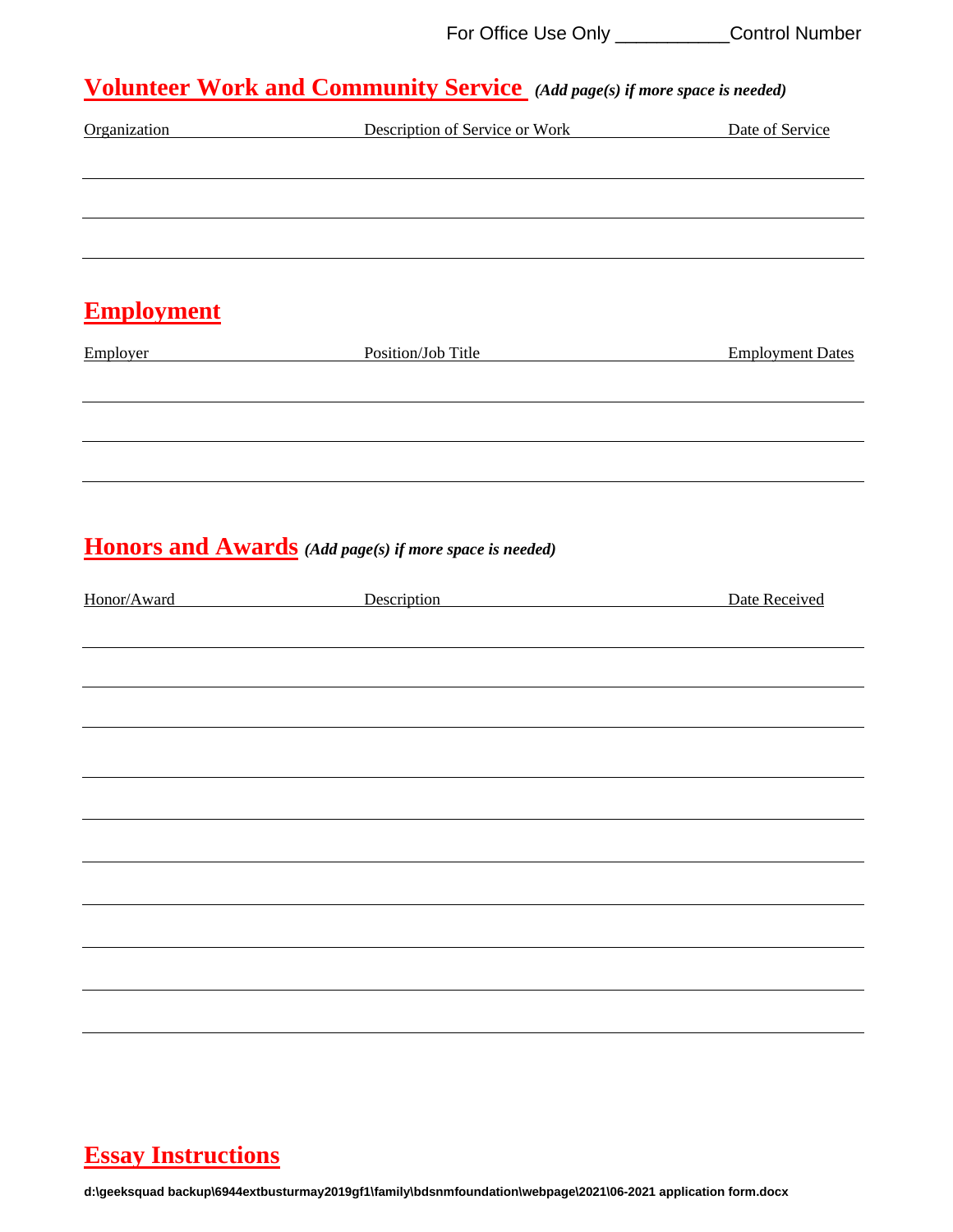## **Volunteer Work and Community Service** *(Add page(s) if more space is needed)*

| Organization      | Description of Service or Work                                       | Date of Service         |
|-------------------|----------------------------------------------------------------------|-------------------------|
|                   |                                                                      |                         |
|                   |                                                                      |                         |
| <b>Employment</b> |                                                                      |                         |
| <b>Employer</b>   | Position/Job Title<br><u> 1980 - Jan Stein, amerikansk politik (</u> | <b>Employment Dates</b> |
|                   |                                                                      |                         |
|                   |                                                                      |                         |
|                   | Honors and Awards (Add page(s) if more space is needed)              |                         |
| Honor/Award       | <u>Description</u>                                                   | Date Received           |
|                   |                                                                      |                         |
|                   |                                                                      |                         |
|                   |                                                                      |                         |
|                   |                                                                      |                         |
|                   |                                                                      |                         |
|                   |                                                                      |                         |
|                   |                                                                      |                         |
|                   |                                                                      |                         |

### **Essay Instructions**

**d:\geeksquad backup\6944extbusturmay2019gf1\family\bdsnmfoundation\webpage\2021\06-2021 application form.docx**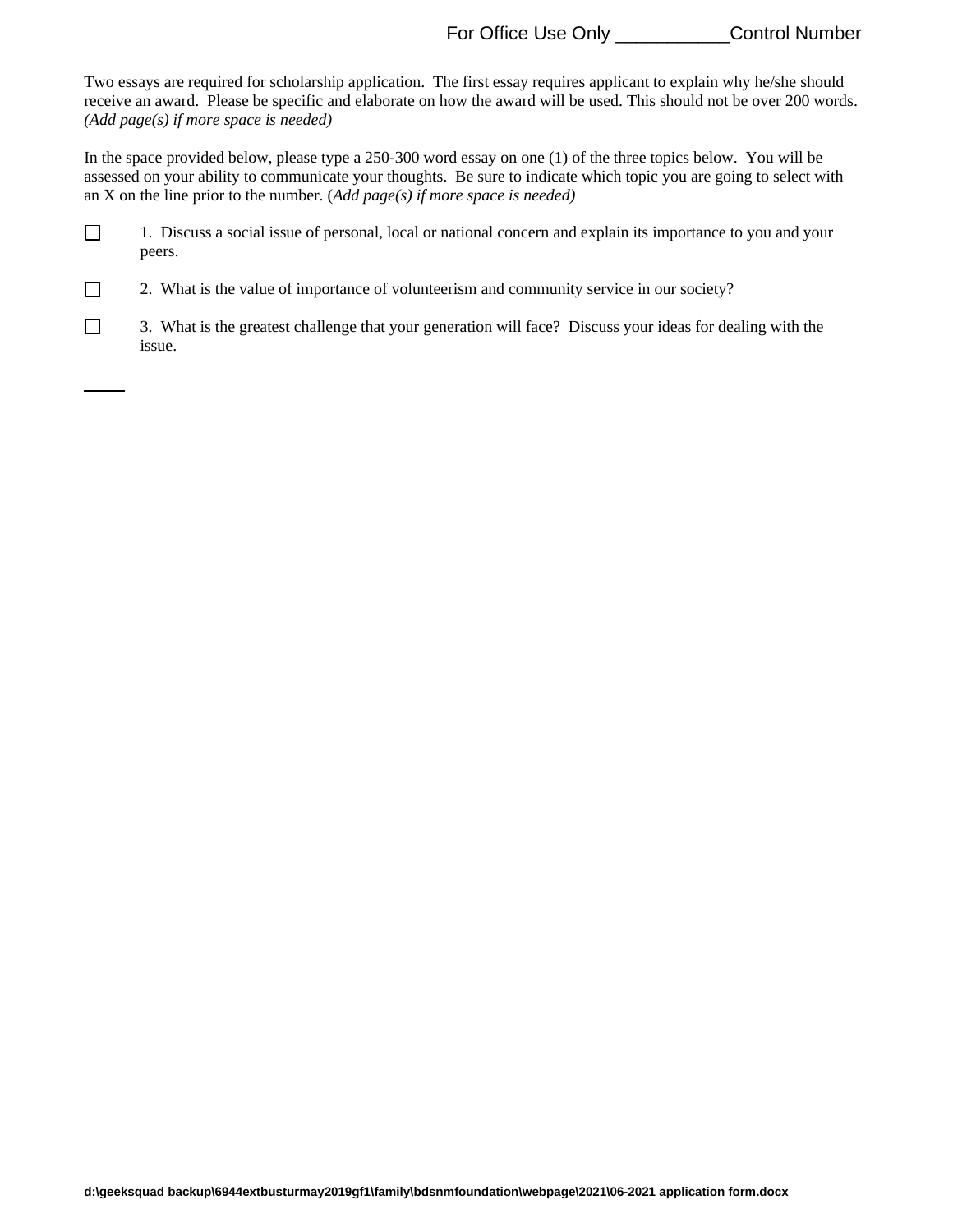Two essays are required for scholarship application. The first essay requires applicant to explain why he/she should receive an award. Please be specific and elaborate on how the award will be used. This should not be over 200 words. *(Add page(s) if more space is needed)*

In the space provided below, please type a 250-300 word essay on one (1) of the three topics below. You will be assessed on your ability to communicate your thoughts. Be sure to indicate which topic you are going to select with an X on the line prior to the number. (*Add page(s) if more space is needed)*

 $\Box$ 1. Discuss a social issue of personal, local or national concern and explain its importance to you and your peers.

2. What is the value of importance of volunteerism and community service in our society?

 $\Box$ 

 $\Box$ 3. What is the greatest challenge that your generation will face? Discuss your ideas for dealing with the issue.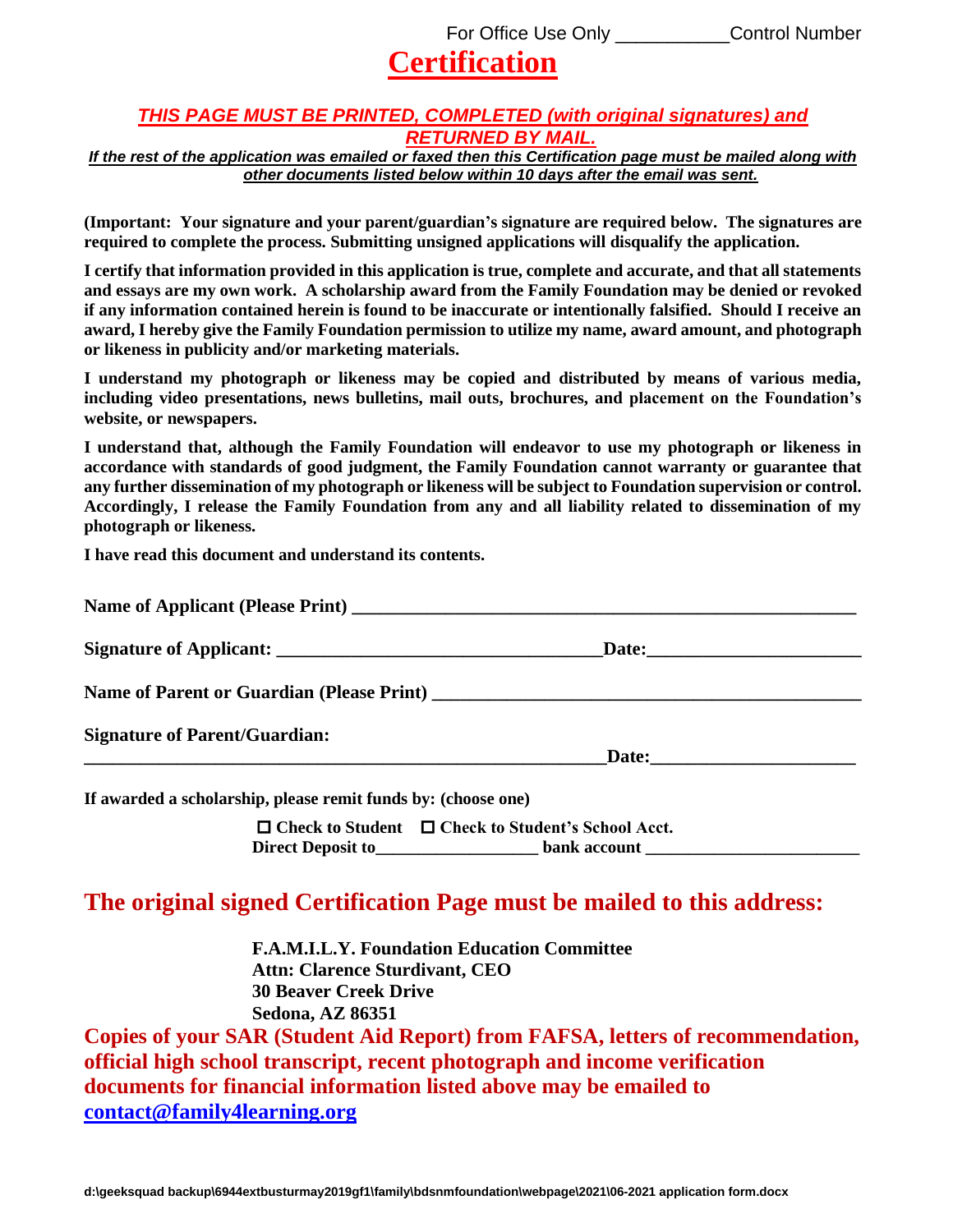# **Certification**

#### *THIS PAGE MUST BE PRINTED, COMPLETED (with original signatures) and RETURNED BY MAIL.*

*If the rest of the application was emailed or faxed then this Certification page must be mailed along with other documents listed below within 10 days after the email was sent.*

**(Important: Your signature and your parent/guardian's signature are required below. The signatures are required to complete the process. Submitting unsigned applications will disqualify the application.**

**I certify that information provided in this application is true, complete and accurate, and that all statements and essays are my own work. A scholarship award from the Family Foundation may be denied or revoked if any information contained herein is found to be inaccurate or intentionally falsified. Should I receive an award, I hereby give the Family Foundation permission to utilize my name, award amount, and photograph or likeness in publicity and/or marketing materials.**

**I understand my photograph or likeness may be copied and distributed by means of various media, including video presentations, news bulletins, mail outs, brochures, and placement on the Foundation's website, or newspapers.** 

**I understand that, although the Family Foundation will endeavor to use my photograph or likeness in accordance with standards of good judgment, the Family Foundation cannot warranty or guarantee that any further dissemination of my photograph or likeness will be subject to Foundation supervision or control. Accordingly, I release the Family Foundation from any and all liability related to dissemination of my photograph or likeness.**

**I have read this document and understand its contents.**

|                                                               | Name of Parent or Guardian (Please Print)                                                                                                           |  |
|---------------------------------------------------------------|-----------------------------------------------------------------------------------------------------------------------------------------------------|--|
| <b>Signature of Parent/Guardian:</b>                          |                                                                                                                                                     |  |
| If awarded a scholarship, please remit funds by: (choose one) |                                                                                                                                                     |  |
|                                                               | $\Box$ Check to Student $\Box$ Check to Student's School Acct.<br>Direct Deposit to _________________________ bank account ________________________ |  |

#### **The original signed Certification Page must be mailed to this address:**

**F.A.M.I.L.Y. Foundation Education Committee Attn: Clarence Sturdivant, CEO 30 Beaver Creek Drive Sedona, AZ 86351**

**Copies of your SAR (Student Aid Report) from FAFSA, letters of recommendation, official high school transcript, recent photograph and income verification documents for financial information listed above may be emailed to [contact@family4learning.org](mailto:contact@family4learning.org)**